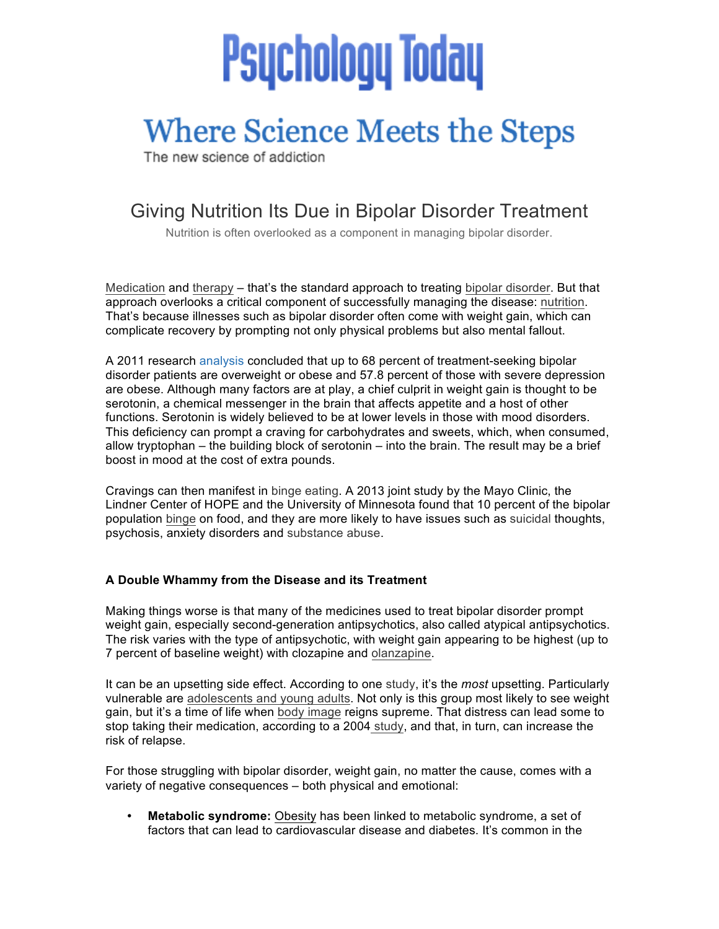# **Psychology Today**

## **Where Science Meets the Steps**

The new science of addiction

### Giving Nutrition Its Due in Bipolar Disorder Treatment

Nutrition is often overlooked as a component in managing bipolar disorder.

Medication and therapy – that's the standard approach to treating bipolar disorder. But that approach overlooks a critical component of successfully managing the disease: nutrition. That's because illnesses such as bipolar disorder often come with weight gain, which can complicate recovery by prompting not only physical problems but also mental fallout.

A 2011 research analysis concluded that up to 68 percent of treatment-seeking bipolar disorder patients are overweight or obese and 57.8 percent of those with severe depression are obese. Although many factors are at play, a chief culprit in weight gain is thought to be serotonin, a chemical messenger in the brain that affects appetite and a host of other functions. Serotonin is widely believed to be at lower levels in those with mood disorders. This deficiency can prompt a craving for carbohydrates and sweets, which, when consumed, allow tryptophan – the building block of serotonin – into the brain. The result may be a brief boost in mood at the cost of extra pounds.

Cravings can then manifest in binge eating. A 2013 joint study by the Mayo Clinic, the Lindner Center of HOPE and the University of Minnesota found that 10 percent of the bipolar population binge on food, and they are more likely to have issues such as suicidal thoughts, psychosis, anxiety disorders and substance abuse.

#### **A Double Whammy from the Disease and its Treatment**

Making things worse is that many of the medicines used to treat bipolar disorder prompt weight gain, especially second-generation antipsychotics, also called atypical antipsychotics. The risk varies with the type of antipsychotic, with weight gain appearing to be highest (up to 7 percent of baseline weight) with clozapine and olanzapine.

It can be an upsetting side effect. According to one study, it's the *most* upsetting. Particularly vulnerable are adolescents and young adults. Not only is this group most likely to see weight gain, but it's a time of life when body image reigns supreme. That distress can lead some to stop taking their medication, according to a 2004 study, and that, in turn, can increase the risk of relapse.

For those struggling with bipolar disorder, weight gain, no matter the cause, comes with a variety of negative consequences – both physical and emotional:

• **Metabolic syndrome:** Obesity has been linked to metabolic syndrome, a set of factors that can lead to cardiovascular disease and diabetes. It's common in the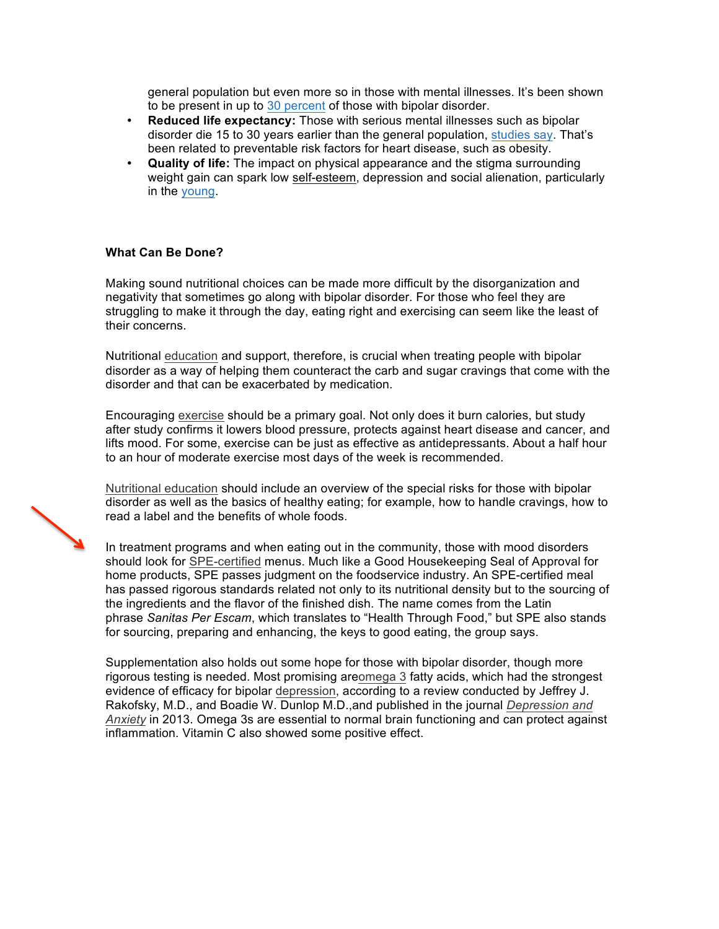general population but even more so in those with mental illnesses. It's been shown to be present in up to 30 percent of those with bipolar disorder.

- **Reduced life expectancy:** Those with serious mental illnesses such as bipolar disorder die 15 to 30 years earlier than the general population, studies say. That's been related to preventable risk factors for heart disease, such as obesity.
- **Quality of life:** The impact on physical appearance and the stigma surrounding weight gain can spark low self-esteem, depression and social alienation, particularly in the young.

#### **What Can Be Done?**

Making sound nutritional choices can be made more difficult by the disorganization and negativity that sometimes go along with bipolar disorder. For those who feel they are struggling to make it through the day, eating right and exercising can seem like the least of their concerns.

Nutritional education and support, therefore, is crucial when treating people with bipolar disorder as a way of helping them counteract the carb and sugar cravings that come with the disorder and that can be exacerbated by medication.

Encouraging exercise should be a primary goal. Not only does it burn calories, but study after study confirms it lowers blood pressure, protects against heart disease and cancer, and lifts mood. For some, exercise can be just as effective as antidepressants. About a half hour to an hour of moderate exercise most days of the week is recommended.

Nutritional education should include an overview of the special risks for those with bipolar disorder as well as the basics of healthy eating; for example, how to handle cravings, how to read a label and the benefits of whole foods.

In treatment programs and when eating out in the community, those with mood disorders should look for SPE-certified menus. Much like a Good Housekeeping Seal of Approval for home products, SPE passes judgment on the foodservice industry. An SPE-certified meal has passed rigorous standards related not only to its nutritional density but to the sourcing of the ingredients and the flavor of the finished dish. The name comes from the Latin phrase *Sanitas Per Escam*, which translates to "Health Through Food," but SPE also stands for sourcing, preparing and enhancing, the keys to good eating, the group says.

Supplementation also holds out some hope for those with bipolar disorder, though more rigorous testing is needed. Most promising areomega 3 fatty acids, which had the strongest evidence of efficacy for bipolar depression, according to a review conducted by Jeffrey J. Rakofsky, M.D., and Boadie W. Dunlop M.D.,and published in the journal *Depression and Anxiety* in 2013. Omega 3s are essential to normal brain functioning and can protect against inflammation. Vitamin C also showed some positive effect.